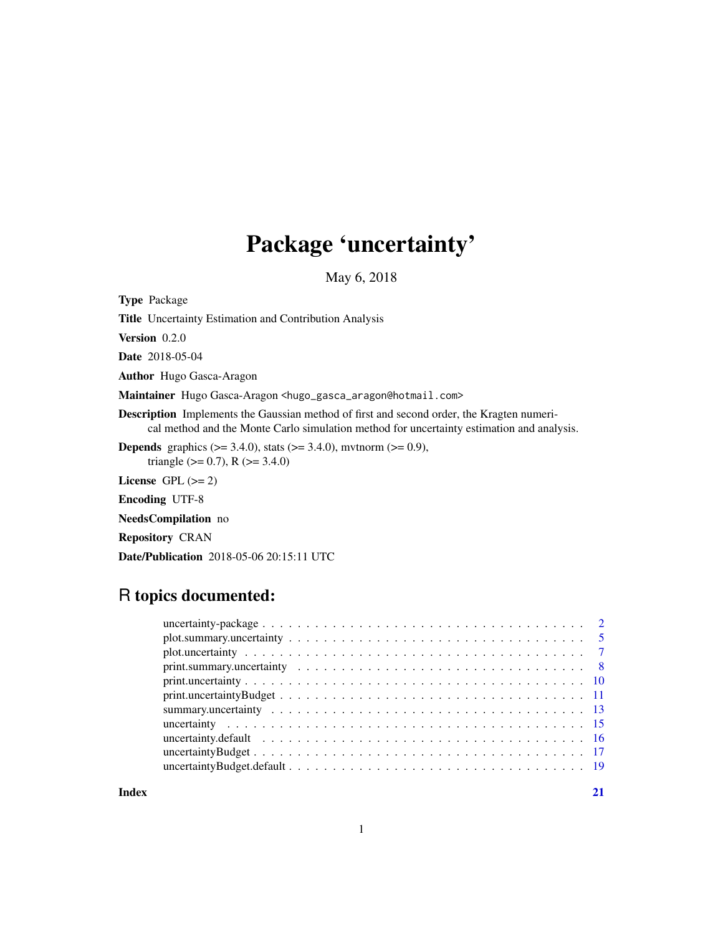## Package 'uncertainty'

May 6, 2018

<span id="page-0-0"></span>Type Package Title Uncertainty Estimation and Contribution Analysis Version 0.2.0 Date 2018-05-04 Author Hugo Gasca-Aragon Maintainer Hugo Gasca-Aragon <hugo\_gasca\_aragon@hotmail.com> Description Implements the Gaussian method of first and second order, the Kragten numerical method and the Monte Carlo simulation method for uncertainty estimation and analysis. **Depends** graphics ( $>= 3.4.0$ ), stats ( $>= 3.4.0$ ), mvtnorm ( $>= 0.9$ ), triangle ( $> = 0.7$ ), R ( $> = 3.4.0$ ) License GPL  $(>= 2)$ Encoding UTF-8 NeedsCompilation no Repository CRAN

Date/Publication 2018-05-06 20:15:11 UTC

## R topics documented:

**Index** [21](#page-20-0)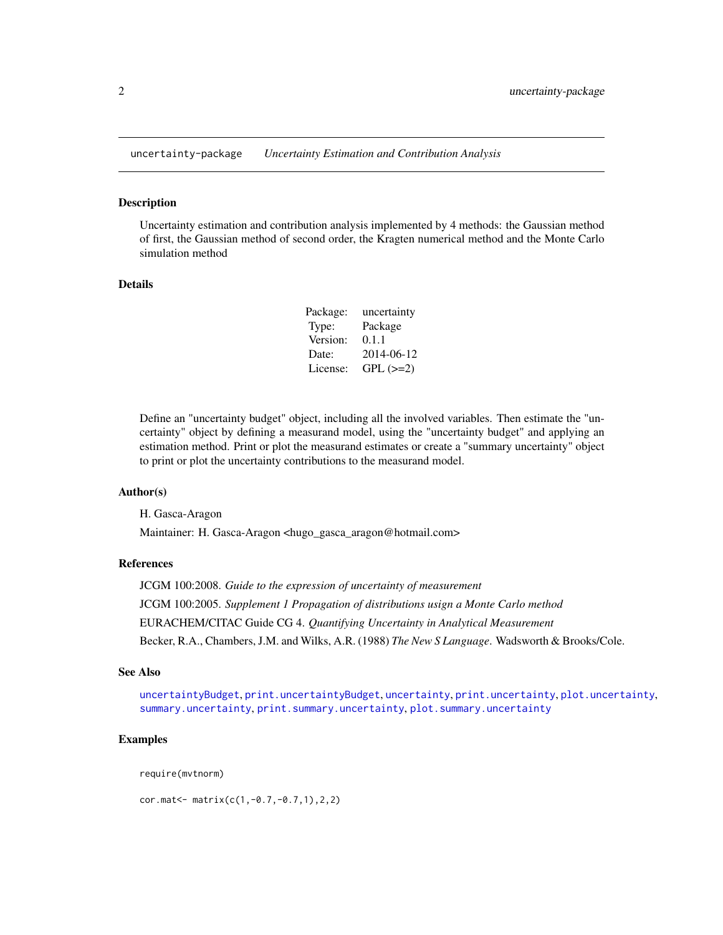<span id="page-1-0"></span>uncertainty-package *Uncertainty Estimation and Contribution Analysis*

#### Description

Uncertainty estimation and contribution analysis implemented by 4 methods: the Gaussian method of first, the Gaussian method of second order, the Kragten numerical method and the Monte Carlo simulation method

#### **Details**

| Package: | uncertainty   |
|----------|---------------|
| Type:    | Package       |
| Version: | 0.1.1         |
| Date:    | 2014-06-12    |
| License: | $GPL$ $(>=2)$ |

Define an "uncertainty budget" object, including all the involved variables. Then estimate the "uncertainty" object by defining a measurand model, using the "uncertainty budget" and applying an estimation method. Print or plot the measurand estimates or create a "summary uncertainty" object to print or plot the uncertainty contributions to the measurand model.

#### Author(s)

H. Gasca-Aragon Maintainer: H. Gasca-Aragon <hugo\_gasca\_aragon@hotmail.com>

#### References

JCGM 100:2008. *Guide to the expression of uncertainty of measurement* JCGM 100:2005. *Supplement 1 Propagation of distributions usign a Monte Carlo method* EURACHEM/CITAC Guide CG 4. *Quantifying Uncertainty in Analytical Measurement* Becker, R.A., Chambers, J.M. and Wilks, A.R. (1988) *The New S Language*. Wadsworth & Brooks/Cole.

#### See Also

[uncertaintyBudget](#page-16-1), [print.uncertaintyBudget](#page-10-1), [uncertainty](#page-14-1), [print.uncertainty](#page-9-1), [plot.uncertainty](#page-6-1), [summary.uncertainty](#page-12-1), [print.summary.uncertainty](#page-7-1), [plot.summary.uncertainty](#page-4-1)

#### Examples

require(mvtnorm)

cor.mat<- matrix(c(1,-0.7,-0.7,1),2,2)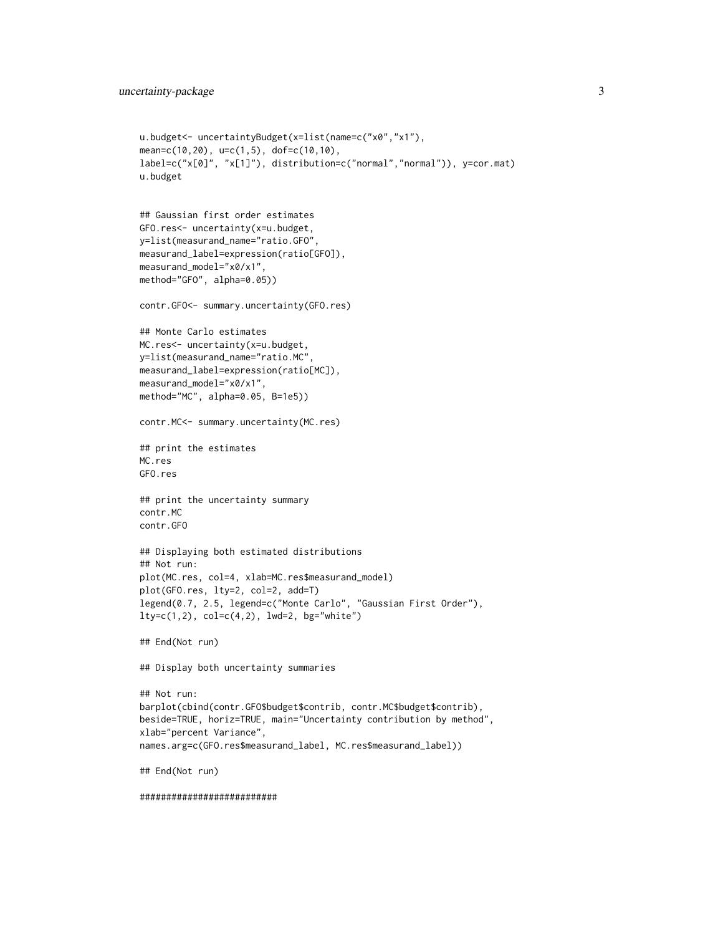```
u.budget<- uncertaintyBudget(x=list(name=c("x0","x1"),
mean=c(10,20), u=c(1,5), dof=c(10,10),
label=c("x[0]", "x[1]"), distribution=c("normal","normal")), y=cor.mat)
u.budget
## Gaussian first order estimates
GFO.res<- uncertainty(x=u.budget,
y=list(measurand_name="ratio.GFO",
measurand_label=expression(ratio[GFO]),
measurand_model="x0/x1",
method="GFO", alpha=0.05))
contr.GFO<- summary.uncertainty(GFO.res)
## Monte Carlo estimates
MC.res<- uncertainty(x=u.budget,
y=list(measurand_name="ratio.MC",
measurand_label=expression(ratio[MC]),
measurand_model="x0/x1",
method="MC", alpha=0.05, B=1e5))
contr.MC<- summary.uncertainty(MC.res)
## print the estimates
MC.res
GFO.res
## print the uncertainty summary
contr.MC
contr.GFO
## Displaying both estimated distributions
## Not run:
plot(MC.res, col=4, xlab=MC.res$measurand_model)
plot(GFO.res, lty=2, col=2, add=T)
legend(0.7, 2.5, legend=c("Monte Carlo", "Gaussian First Order"),
lty=c(1,2), col=c(4,2), lwd=2, bg="white")
## End(Not run)
## Display both uncertainty summaries
## Not run:
barplot(cbind(contr.GFO$budget$contrib, contr.MC$budget$contrib),
beside=TRUE, horiz=TRUE, main="Uncertainty contribution by method",
xlab="percent Variance",
names.arg=c(GFO.res$measurand_label, MC.res$measurand_label))
## End(Not run)
##########################
```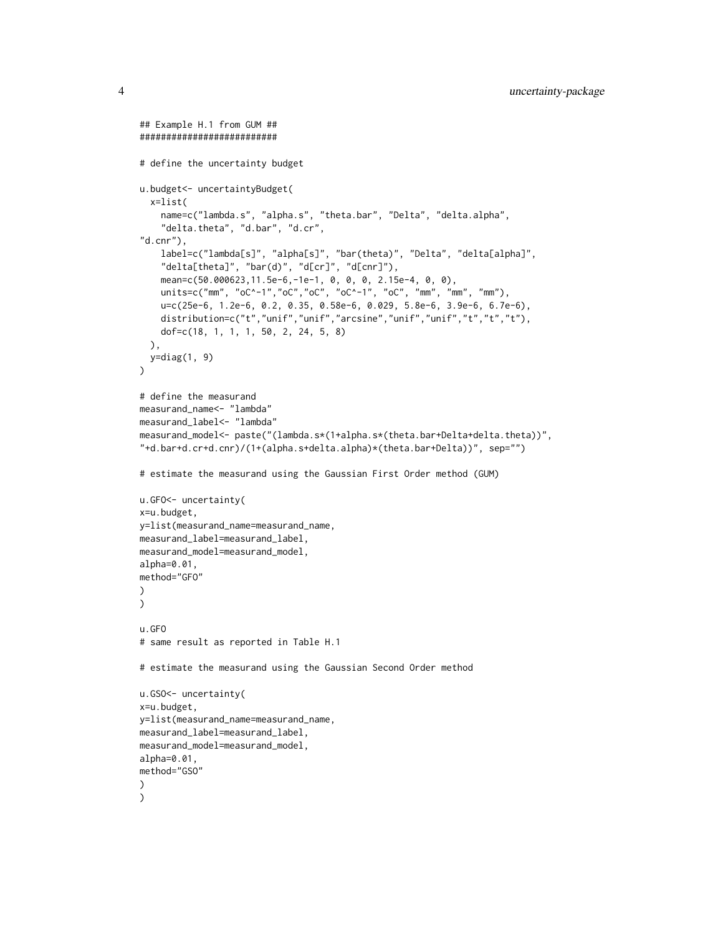```
## Example H.1 from GUM ##
##########################
# define the uncertainty budget
u.budget<- uncertaintyBudget(
  x=list(
    name=c("lambda.s", "alpha.s", "theta.bar", "Delta", "delta.alpha",
    "delta.theta", "d.bar", "d.cr",
"d.cnr"),
    label=c("lambda[s]", "alpha[s]", "bar(theta)", "Delta", "delta[alpha]",
    "delta[theta]", "bar(d)", "d[cr]", "d[cnr]"),
    mean=c(50.000623,11.5e-6,-1e-1, 0, 0, 0, 2.15e-4, 0, 0),
    units=c("mm", "oC^-1","oC","oC", "oC^-1", "oC", "mm", "mm", "mm"),
    u=c(25e-6, 1.2e-6, 0.2, 0.35, 0.58e-6, 0.029, 5.8e-6, 3.9e-6, 6.7e-6),
    distribution=c("t","unif","unif","arcsine","unif","unif","t","t","t"),
   dof=c(18, 1, 1, 1, 50, 2, 24, 5, 8)
  ),
  y=diag(1, 9)
)
# define the measurand
measurand_name<- "lambda"
measurand_label<- "lambda"
measurand_model<- paste("(lambda.s*(1+alpha.s*(theta.bar+Delta+delta.theta))",
"+d.bar+d.cr+d.cnr)/(1+(alpha.s+delta.alpha)*(theta.bar+Delta))", sep="")
# estimate the measurand using the Gaussian First Order method (GUM)
u.GFO<- uncertainty(
x=u.budget,
y=list(measurand_name=measurand_name,
measurand_label=measurand_label,
measurand_model=measurand_model,
alpha=0.01,
method="GFO"
\lambda\mathcal{L}u.GFO
# same result as reported in Table H.1
# estimate the measurand using the Gaussian Second Order method
u.GSO<- uncertainty(
x=u.budget,
y=list(measurand_name=measurand_name,
measurand_label=measurand_label,
measurand_model=measurand_model,
alpha=0.01,
method="GSO"
)
)
```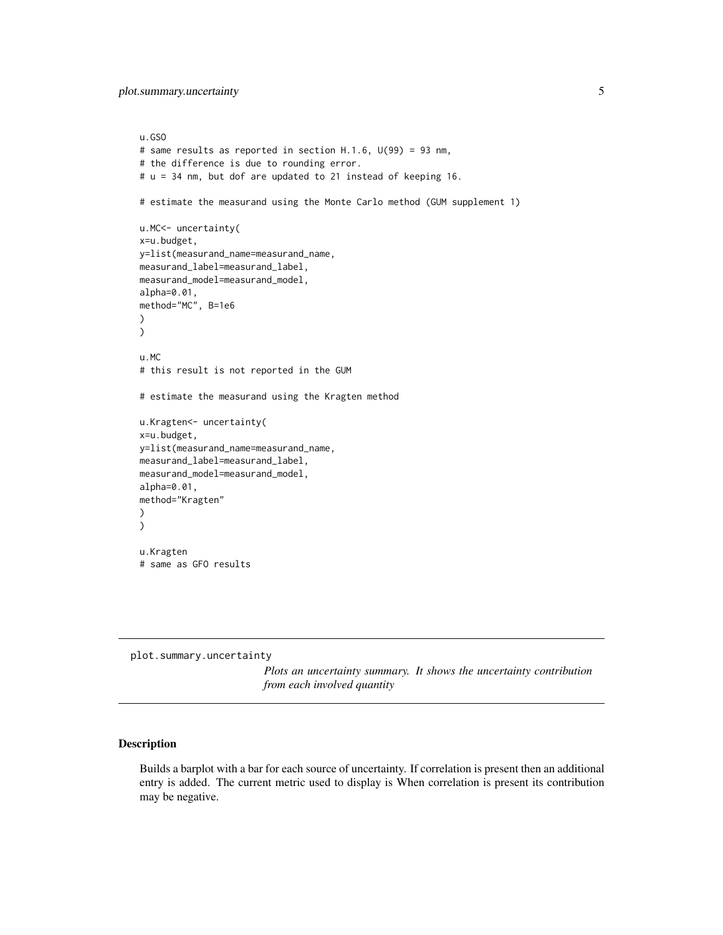<span id="page-4-0"></span>plot.summary.uncertainty 5

```
u.GSO
# same results as reported in section H.1.6, U(99) = 93 nm,
# the difference is due to rounding error.
# u = 34 nm, but dof are updated to 21 instead of keeping 16.
# estimate the measurand using the Monte Carlo method (GUM supplement 1)
u.MC<- uncertainty(
x=u.budget,
y=list(measurand_name=measurand_name,
measurand_label=measurand_label,
measurand_model=measurand_model,
alpha=0.01,
method="MC", B=1e6
)
\mathcal{L}u.MC
# this result is not reported in the GUM
# estimate the measurand using the Kragten method
u.Kragten<- uncertainty(
x=u.budget,
y=list(measurand_name=measurand_name,
measurand_label=measurand_label,
measurand_model=measurand_model,
alpha=0.01,
method="Kragten"
)
)
u.Kragten
# same as GFO results
```
<span id="page-4-1"></span>plot.summary.uncertainty

*Plots an uncertainty summary. It shows the uncertainty contribution from each involved quantity*

#### Description

Builds a barplot with a bar for each source of uncertainty. If correlation is present then an additional entry is added. The current metric used to display is When correlation is present its contribution may be negative.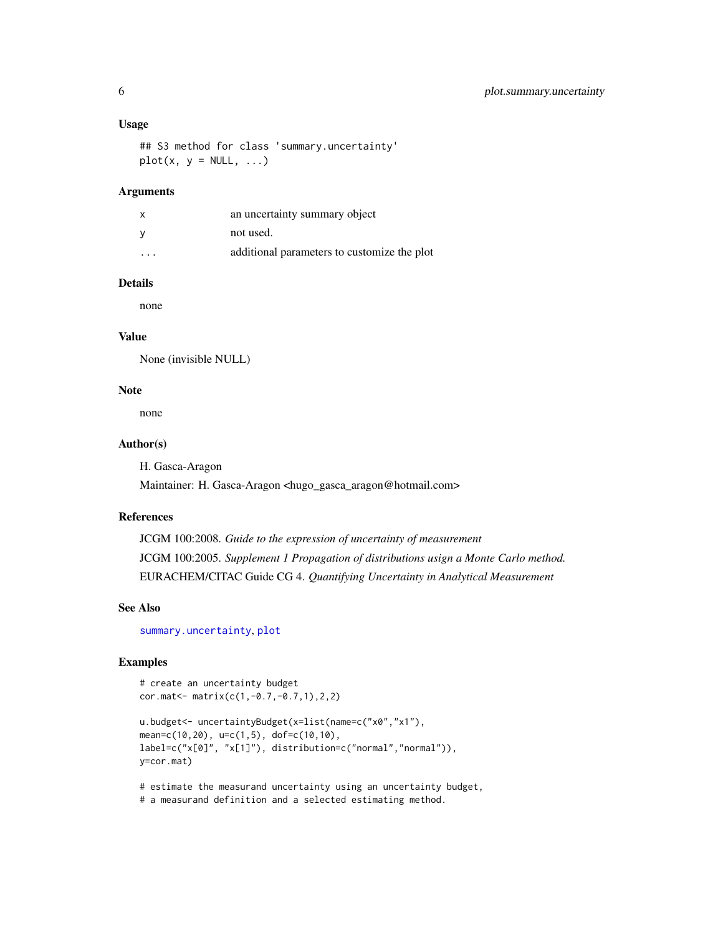#### <span id="page-5-0"></span>Usage

## S3 method for class 'summary.uncertainty'  $plot(x, y = NULL, ...)$ 

#### Arguments

| x                       | an uncertainty summary object               |
|-------------------------|---------------------------------------------|
| ٧                       | not used.                                   |
| $\cdot$ $\cdot$ $\cdot$ | additional parameters to customize the plot |

#### Details

none

#### Value

None (invisible NULL)

## Note

none

## Author(s)

H. Gasca-Aragon Maintainer: H. Gasca-Aragon <hugo\_gasca\_aragon@hotmail.com>

#### References

JCGM 100:2008. *Guide to the expression of uncertainty of measurement* JCGM 100:2005. *Supplement 1 Propagation of distributions usign a Monte Carlo method.* EURACHEM/CITAC Guide CG 4. *Quantifying Uncertainty in Analytical Measurement*

#### See Also

[summary.uncertainty](#page-12-1), [plot](#page-0-0)

## Examples

```
# create an uncertainty budget
cor.mat<- matrix(c(1,-0.7,-0.7,1),2,2)
```

```
u.budget<- uncertaintyBudget(x=list(name=c("x0","x1"),
mean=c(10,20), u=c(1,5), dof=c(10,10),
label=c("x[0]", "x[1]"), distribution=c("normal","normal")),
y=cor.mat)
```
# estimate the measurand uncertainty using an uncertainty budget, # a measurand definition and a selected estimating method.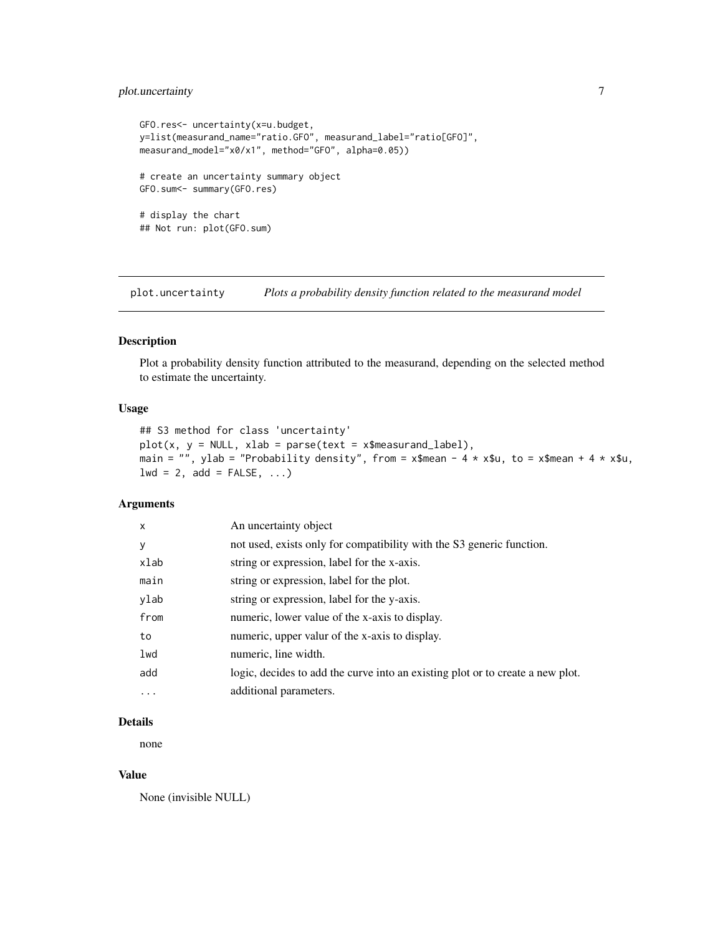## <span id="page-6-0"></span>plot.uncertainty 7

```
GFO.res<- uncertainty(x=u.budget,
y=list(measurand_name="ratio.GFO", measurand_label="ratio[GFO]",
measurand_model="x0/x1", method="GFO", alpha=0.05))
# create an uncertainty summary object
GFO.sum<- summary(GFO.res)
# display the chart
## Not run: plot(GFO.sum)
```
<span id="page-6-1"></span>plot.uncertainty *Plots a probability density function related to the measurand model*

## Description

Plot a probability density function attributed to the measurand, depending on the selected method to estimate the uncertainty.

## Usage

```
## S3 method for class 'uncertainty'
plot(x, y = NULL, xlab = parse(text = x$measured_label),main = "", ylab = "Probability density", from = x$mean - 4 * x$u, to = x$mean + 4 * x$u,
1wd = 2, add = FALSE, ...
```
#### Arguments

| $\mathsf{x}$ | An uncertainty object                                                          |
|--------------|--------------------------------------------------------------------------------|
| y            | not used, exists only for compatibility with the S3 generic function.          |
| xlab         | string or expression, label for the x-axis.                                    |
| main         | string or expression, label for the plot.                                      |
| ylab         | string or expression, label for the y-axis.                                    |
| from         | numeric, lower value of the x-axis to display.                                 |
| to           | numeric, upper valur of the x-axis to display.                                 |
| lwd          | numeric, line width.                                                           |
| add          | logic, decides to add the curve into an existing plot or to create a new plot. |
| $\cdots$     | additional parameters.                                                         |

## Details

none

#### Value

None (invisible NULL)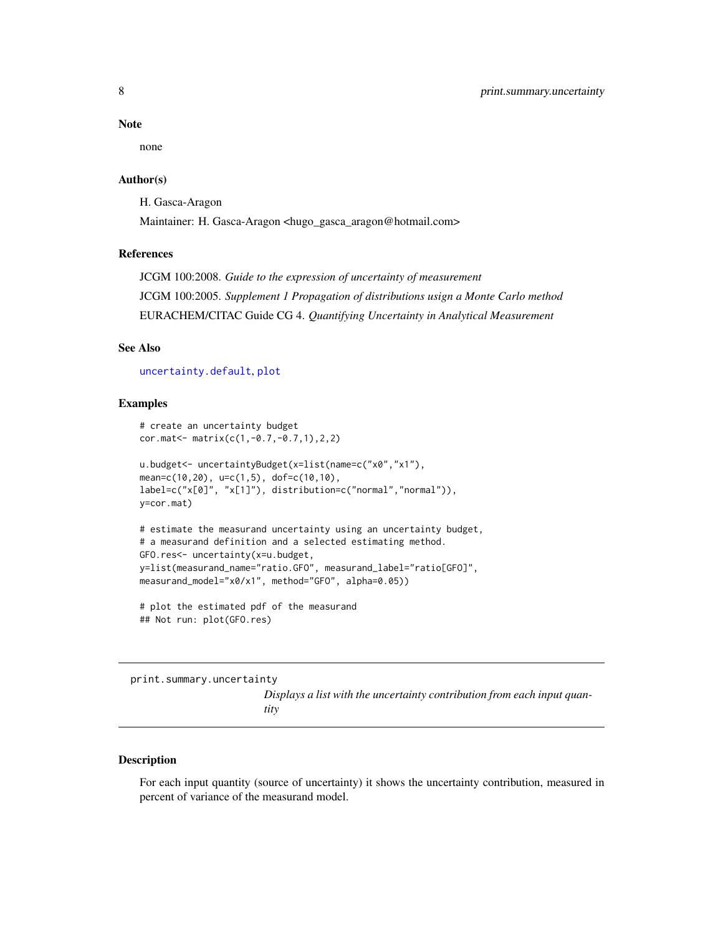#### <span id="page-7-0"></span>Note

none

## Author(s)

H. Gasca-Aragon Maintainer: H. Gasca-Aragon <hugo\_gasca\_aragon@hotmail.com>

## References

JCGM 100:2008. *Guide to the expression of uncertainty of measurement* JCGM 100:2005. *Supplement 1 Propagation of distributions usign a Monte Carlo method* EURACHEM/CITAC Guide CG 4. *Quantifying Uncertainty in Analytical Measurement*

#### See Also

[uncertainty.default](#page-15-1), [plot](#page-0-0)

## Examples

```
# create an uncertainty budget
cor.mat<- matrix(c(1,-0.7,-0.7,1),2,2)
u.budget<- uncertaintyBudget(x=list(name=c("x0","x1"),
mean=c(10,20), u=c(1,5), dof=c(10,10),
label=c("x[0]", "x[1]"), distribution=c("normal","normal")),
y=cor.mat)
# estimate the measurand uncertainty using an uncertainty budget,
# a measurand definition and a selected estimating method.
GFO.res<- uncertainty(x=u.budget,
y=list(measurand_name="ratio.GFO", measurand_label="ratio[GFO]",
measurand_model="x0/x1", method="GFO", alpha=0.05))
# plot the estimated pdf of the measurand
```
## Not run: plot(GFO.res)

<span id="page-7-1"></span>print.summary.uncertainty *Displays a list with the uncertainty contribution from each input quantity*

## Description

For each input quantity (source of uncertainty) it shows the uncertainty contribution, measured in percent of variance of the measurand model.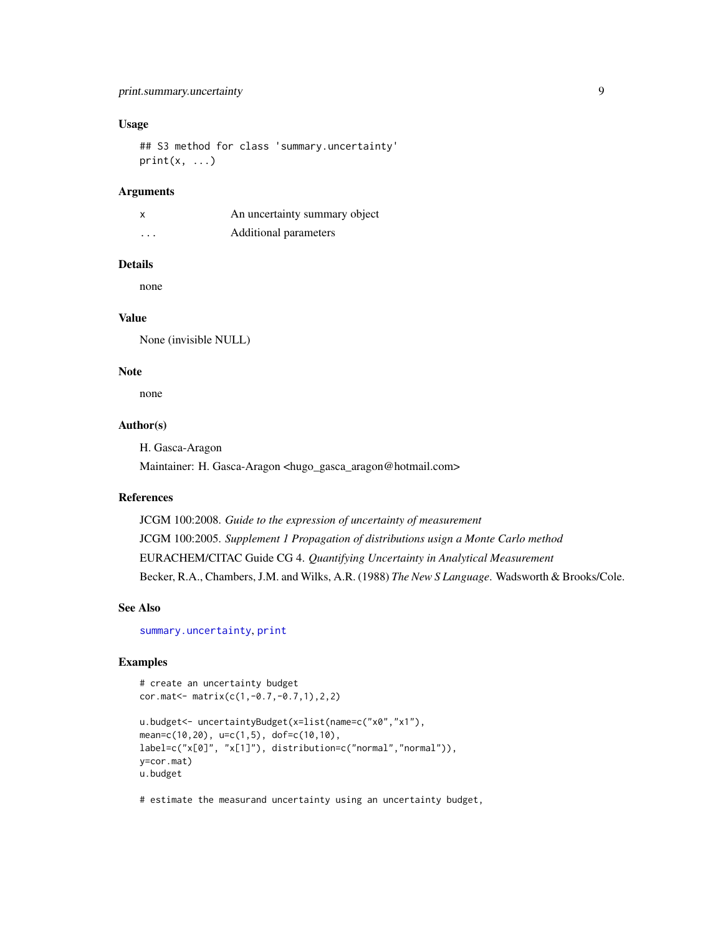## <span id="page-8-0"></span>Usage

## S3 method for class 'summary.uncertainty'  $print(x, \ldots)$ 

#### Arguments

|          | An uncertainty summary object |
|----------|-------------------------------|
| $\cdots$ | Additional parameters         |

#### Details

none

## Value

None (invisible NULL)

## Note

none

## Author(s)

H. Gasca-Aragon

Maintainer: H. Gasca-Aragon <hugo\_gasca\_aragon@hotmail.com>

## References

JCGM 100:2008. *Guide to the expression of uncertainty of measurement* JCGM 100:2005. *Supplement 1 Propagation of distributions usign a Monte Carlo method* EURACHEM/CITAC Guide CG 4. *Quantifying Uncertainty in Analytical Measurement* Becker, R.A., Chambers, J.M. and Wilks, A.R. (1988) *The New S Language*. Wadsworth & Brooks/Cole.

#### See Also

[summary.uncertainty](#page-12-1), [print](#page-0-0)

## Examples

```
# create an uncertainty budget
cor.mat<- matrix(c(1,-0.7,-0.7,1),2,2)
u.budget<- uncertaintyBudget(x=list(name=c("x0","x1"),
mean=c(10,20), u=c(1,5), dof=c(10,10),
label=c("x[0]", "x[1]"), distribution=c("normal","normal")),
y=cor.mat)
u.budget
```
# estimate the measurand uncertainty using an uncertainty budget,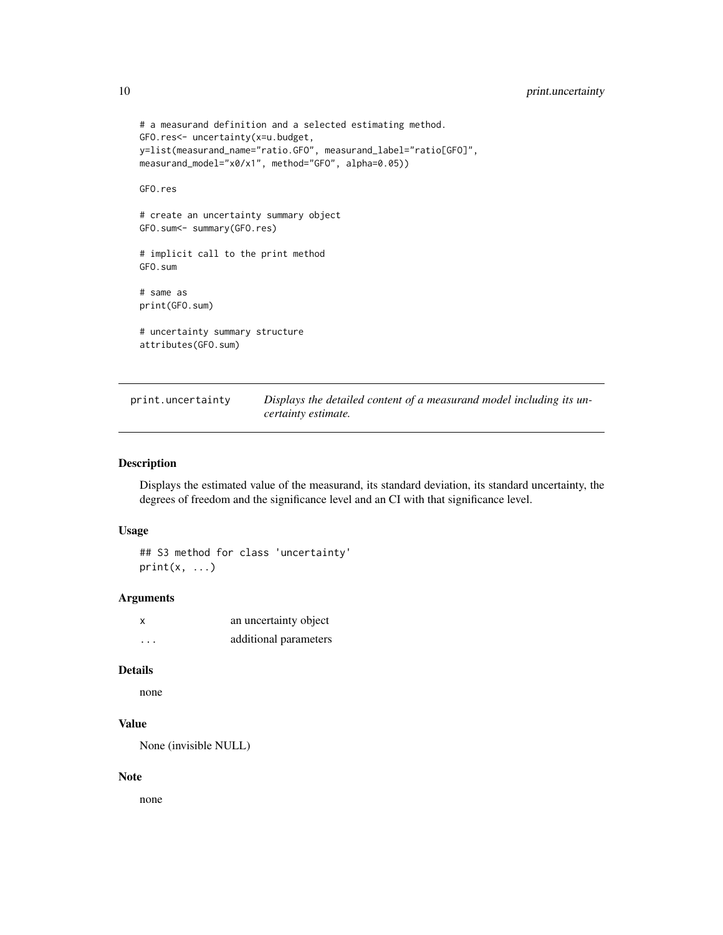```
# a measurand definition and a selected estimating method.
GFO.res<- uncertainty(x=u.budget,
y=list(measurand_name="ratio.GFO", measurand_label="ratio[GFO]",
measurand_model="x0/x1", method="GFO", alpha=0.05))
GFO.res
# create an uncertainty summary object
GFO.sum<- summary(GFO.res)
# implicit call to the print method
GFO.sum
# same as
print(GFO.sum)
# uncertainty summary structure
attributes(GFO.sum)
```
<span id="page-9-1"></span>print.uncertainty *Displays the detailed content of a measurand model including its uncertainty estimate.*

## Description

Displays the estimated value of the measurand, its standard deviation, its standard uncertainty, the degrees of freedom and the significance level and an CI with that significance level.

#### Usage

```
## S3 method for class 'uncertainty'
print(x, \ldots)
```
## Arguments

| x | an uncertainty object |
|---|-----------------------|
| . | additional parameters |

## Details

```
none
```
## Value

None (invisible NULL)

#### Note

none

<span id="page-9-0"></span>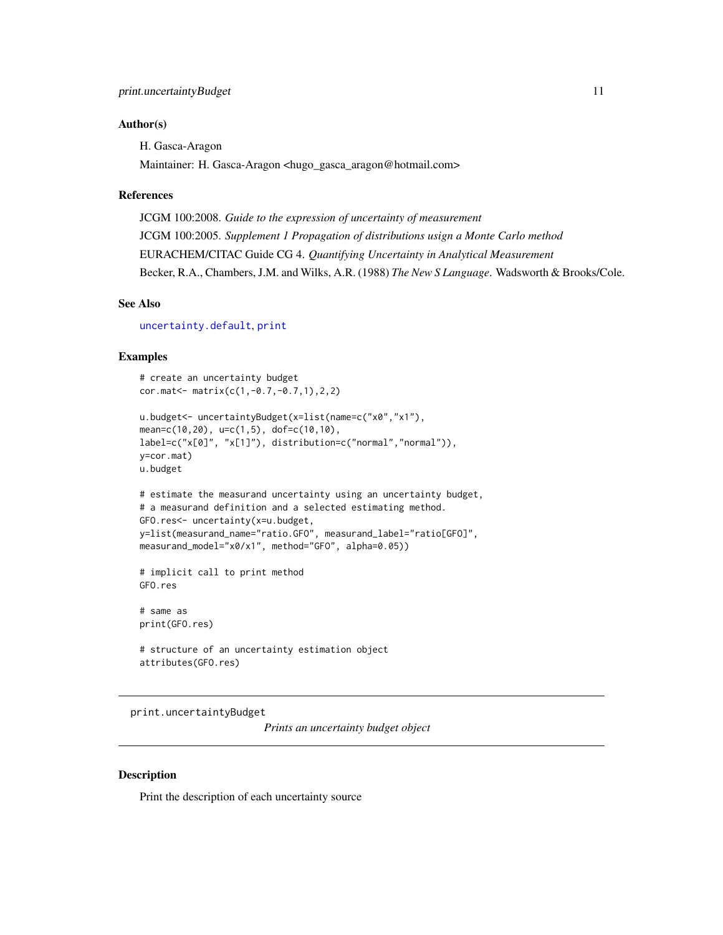#### <span id="page-10-0"></span>Author(s)

H. Gasca-Aragon

Maintainer: H. Gasca-Aragon <hugo\_gasca\_aragon@hotmail.com>

#### References

JCGM 100:2008. *Guide to the expression of uncertainty of measurement* JCGM 100:2005. *Supplement 1 Propagation of distributions usign a Monte Carlo method* EURACHEM/CITAC Guide CG 4. *Quantifying Uncertainty in Analytical Measurement* Becker, R.A., Chambers, J.M. and Wilks, A.R. (1988) *The New S Language*. Wadsworth & Brooks/Cole.

#### See Also

[uncertainty.default](#page-15-1), [print](#page-0-0)

## Examples

```
# create an uncertainty budget
cor.mat<- matrix(c(1,-0.7,-0.7,1),2,2)
u.budget<- uncertaintyBudget(x=list(name=c("x0","x1"),
mean=c(10,20), u=c(1,5), dof=c(10,10),
label=c("x[0]", "x[1]"), distribution=c("normal","normal")),
y=cor.mat)
u.budget
# estimate the measurand uncertainty using an uncertainty budget,
# a measurand definition and a selected estimating method.
GFO.res<- uncertainty(x=u.budget,
y=list(measurand_name="ratio.GFO", measurand_label="ratio[GFO]",
measurand_model="x0/x1", method="GFO", alpha=0.05))
# implicit call to print method
GFO.res
# same as
print(GFO.res)
# structure of an uncertainty estimation object
```
attributes(GFO.res)

<span id="page-10-1"></span>print.uncertaintyBudget

*Prints an uncertainty budget object*

#### Description

Print the description of each uncertainty source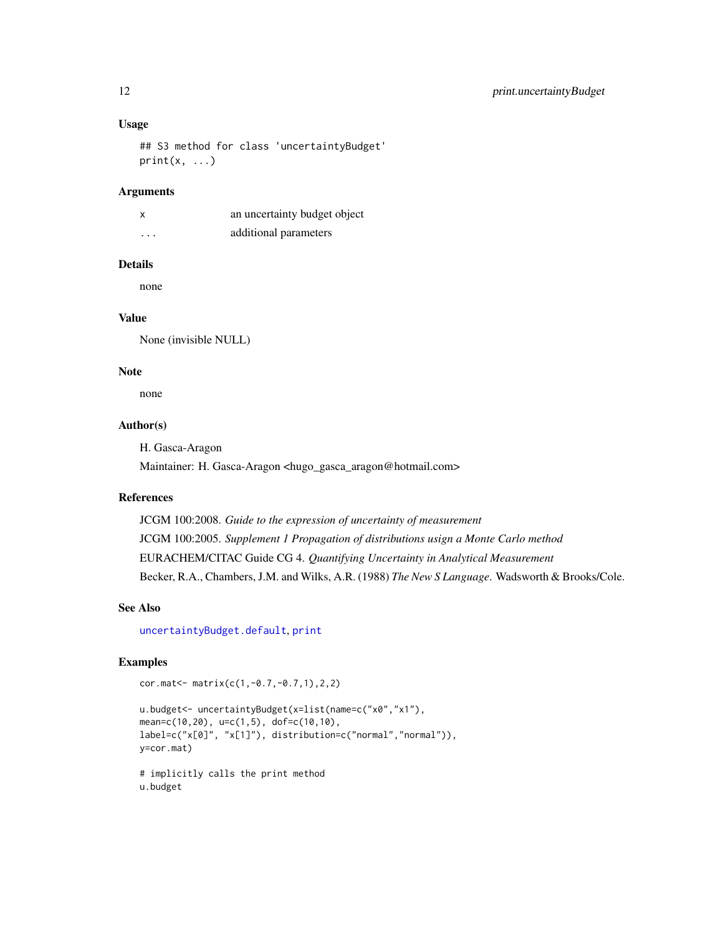## <span id="page-11-0"></span>Usage

## S3 method for class 'uncertaintyBudget'  $print(x, \ldots)$ 

#### Arguments

|          | an uncertainty budget object |
|----------|------------------------------|
| $\cdots$ | additional parameters        |

#### Details

none

## Value

None (invisible NULL)

## Note

none

## Author(s)

H. Gasca-Aragon

Maintainer: H. Gasca-Aragon <hugo\_gasca\_aragon@hotmail.com>

## References

JCGM 100:2008. *Guide to the expression of uncertainty of measurement* JCGM 100:2005. *Supplement 1 Propagation of distributions usign a Monte Carlo method* EURACHEM/CITAC Guide CG 4. *Quantifying Uncertainty in Analytical Measurement* Becker, R.A., Chambers, J.M. and Wilks, A.R. (1988) *The New S Language*. Wadsworth & Brooks/Cole.

#### See Also

[uncertaintyBudget.default](#page-18-1), [print](#page-0-0)

## Examples

cor.mat<- matrix(c(1,-0.7,-0.7,1),2,2)

```
u.budget<- uncertaintyBudget(x=list(name=c("x0","x1"),
mean=c(10,20), u=c(1,5), dof=c(10,10),
label=c("x[0]", "x[1]"), distribution=c("normal","normal")),
y=cor.mat)
# implicitly calls the print method
```
u.budget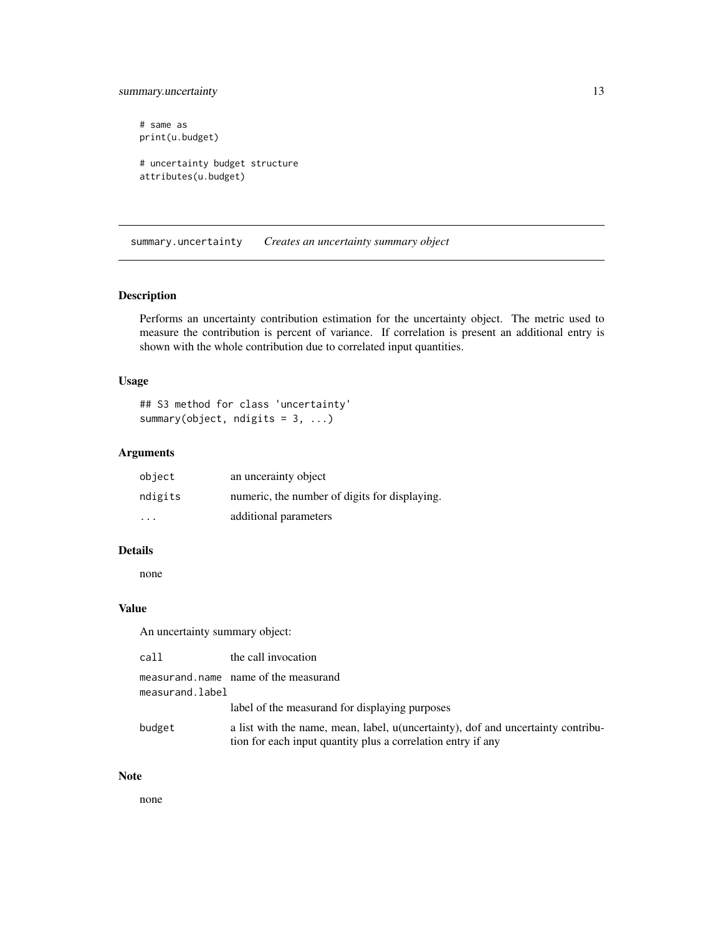## <span id="page-12-0"></span>summary.uncertainty 13

# same as print(u.budget) # uncertainty budget structure attributes(u.budget)

<span id="page-12-1"></span>summary.uncertainty *Creates an uncertainty summary object*

## Description

Performs an uncertainty contribution estimation for the uncertainty object. The metric used to measure the contribution is percent of variance. If correlation is present an additional entry is shown with the whole contribution due to correlated input quantities.

## Usage

## S3 method for class 'uncertainty' summary(object, ndigits =  $3, ...$ )

## Arguments

| object                  | an uncerainty object                          |
|-------------------------|-----------------------------------------------|
| ndigits                 | numeric, the number of digits for displaying. |
| $\cdot$ $\cdot$ $\cdot$ | additional parameters                         |

#### Details

none

## Value

An uncertainty summary object:

| call            | the call invocation                                                                                                                              |
|-----------------|--------------------------------------------------------------------------------------------------------------------------------------------------|
| measurand.label | measurand, name name of the measurand                                                                                                            |
|                 | label of the measurand for displaying purposes                                                                                                   |
| budget          | a list with the name, mean, label, u(uncertainty), dof and uncertainty contribu-<br>tion for each input quantity plus a correlation entry if any |

#### Note

none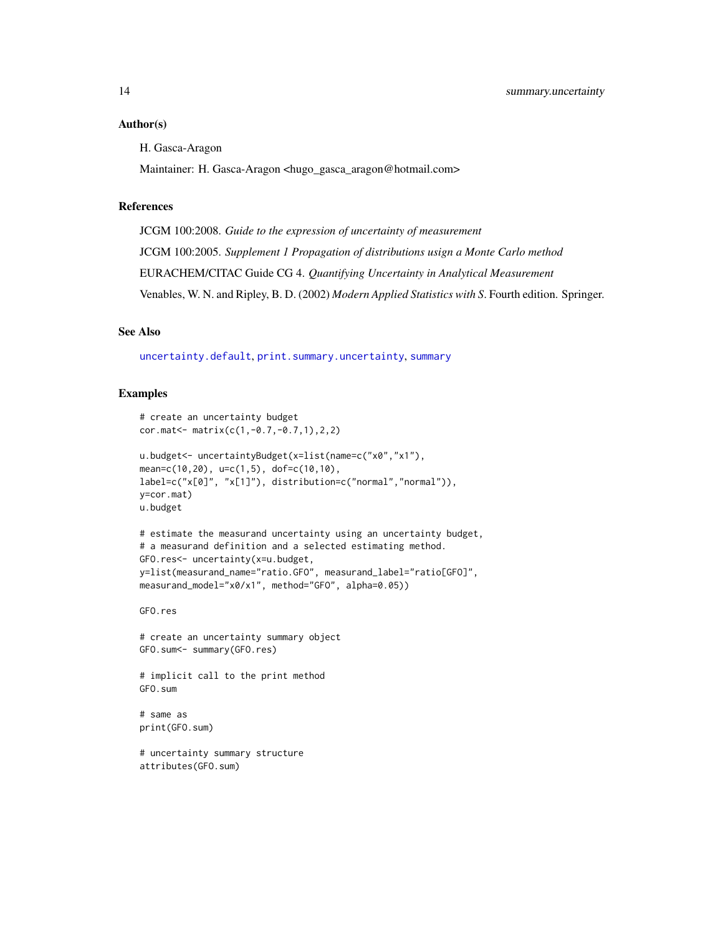#### <span id="page-13-0"></span>Author(s)

H. Gasca-Aragon

Maintainer: H. Gasca-Aragon <hugo\_gasca\_aragon@hotmail.com>

## References

JCGM 100:2008. *Guide to the expression of uncertainty of measurement* JCGM 100:2005. *Supplement 1 Propagation of distributions usign a Monte Carlo method* EURACHEM/CITAC Guide CG 4. *Quantifying Uncertainty in Analytical Measurement* Venables, W. N. and Ripley, B. D. (2002) *Modern Applied Statistics with S*. Fourth edition. Springer.

## See Also

[uncertainty.default](#page-15-1), [print.summary.uncertainty](#page-7-1), [summary](#page-0-0)

#### Examples

```
# create an uncertainty budget
cor.mat<- matrix(c(1,-0.7,-0.7,1),2,2)
u.budget<- uncertaintyBudget(x=list(name=c("x0","x1"),
mean=c(10,20), u=c(1,5), dof=c(10,10),
label=c("x[0]", "x[1]"), distribution=c("normal","normal")),
y=cor.mat)
u.budget
# estimate the measurand uncertainty using an uncertainty budget,
# a measurand definition and a selected estimating method.
GFO.res<- uncertainty(x=u.budget,
y=list(measurand_name="ratio.GFO", measurand_label="ratio[GFO]",
measurand_model="x0/x1", method="GFO", alpha=0.05))
GFO.res
# create an uncertainty summary object
GFO.sum<- summary(GFO.res)
# implicit call to the print method
GFO.sum
# same as
print(GFO.sum)
# uncertainty summary structure
attributes(GFO.sum)
```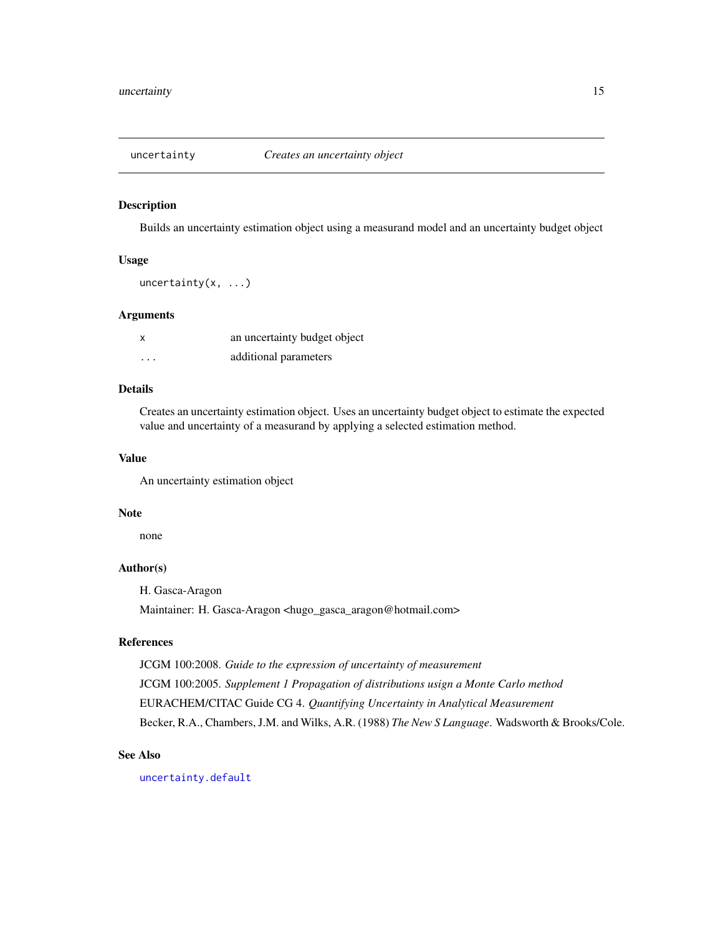<span id="page-14-1"></span><span id="page-14-0"></span>

#### Description

Builds an uncertainty estimation object using a measurand model and an uncertainty budget object

## Usage

uncertainty(x, ...)

#### Arguments

| X        | an uncertainty budget object |
|----------|------------------------------|
| $\cdots$ | additional parameters        |

## Details

Creates an uncertainty estimation object. Uses an uncertainty budget object to estimate the expected value and uncertainty of a measurand by applying a selected estimation method.

#### Value

An uncertainty estimation object

#### Note

none

## Author(s)

H. Gasca-Aragon

Maintainer: H. Gasca-Aragon <hugo\_gasca\_aragon@hotmail.com>

## References

JCGM 100:2008. *Guide to the expression of uncertainty of measurement* JCGM 100:2005. *Supplement 1 Propagation of distributions usign a Monte Carlo method* EURACHEM/CITAC Guide CG 4. *Quantifying Uncertainty in Analytical Measurement* Becker, R.A., Chambers, J.M. and Wilks, A.R. (1988) *The New S Language*. Wadsworth & Brooks/Cole.

## See Also

[uncertainty.default](#page-15-1)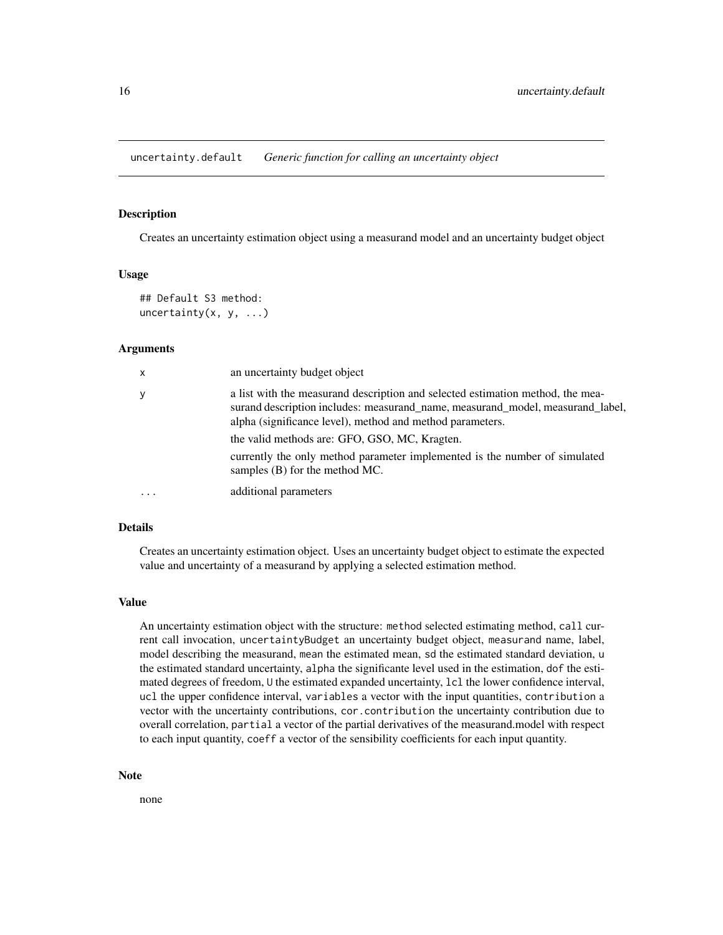<span id="page-15-1"></span><span id="page-15-0"></span>uncertainty.default *Generic function for calling an uncertainty object*

## Description

Creates an uncertainty estimation object using a measurand model and an uncertainty budget object

#### Usage

```
## Default S3 method:
uncertainty(x, y, \ldots)
```
#### Arguments

| $\mathsf{x}$ | an uncertainty budget object                                                                                                                                                                                                  |
|--------------|-------------------------------------------------------------------------------------------------------------------------------------------------------------------------------------------------------------------------------|
| y            | a list with the measurand description and selected estimation method, the mea-<br>surand description includes: measurand_name, measurand_model, measurand_label,<br>alpha (significance level), method and method parameters. |
|              | the valid methods are: GFO, GSO, MC, Kragten.                                                                                                                                                                                 |
|              | currently the only method parameter implemented is the number of simulated<br>samples $(B)$ for the method MC.                                                                                                                |
| .            | additional parameters                                                                                                                                                                                                         |

#### Details

Creates an uncertainty estimation object. Uses an uncertainty budget object to estimate the expected value and uncertainty of a measurand by applying a selected estimation method.

#### Value

An uncertainty estimation object with the structure: method selected estimating method, call current call invocation, uncertaintyBudget an uncertainty budget object, measurand name, label, model describing the measurand, mean the estimated mean, sd the estimated standard deviation, u the estimated standard uncertainty, alpha the significante level used in the estimation, dof the estimated degrees of freedom, U the estimated expanded uncertainty, lcl the lower confidence interval, ucl the upper confidence interval, variables a vector with the input quantities, contribution a vector with the uncertainty contributions, cor.contribution the uncertainty contribution due to overall correlation, partial a vector of the partial derivatives of the measurand.model with respect to each input quantity, coeff a vector of the sensibility coefficients for each input quantity.

#### Note

none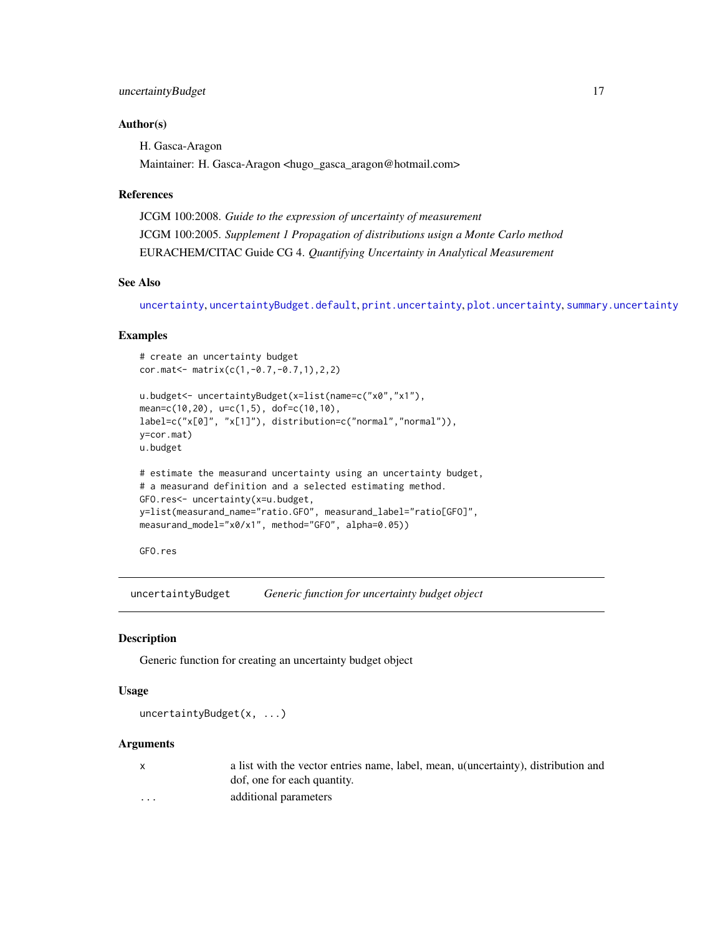## <span id="page-16-0"></span>Author(s)

H. Gasca-Aragon

Maintainer: H. Gasca-Aragon <hugo\_gasca\_aragon@hotmail.com>

## References

JCGM 100:2008. *Guide to the expression of uncertainty of measurement* JCGM 100:2005. *Supplement 1 Propagation of distributions usign a Monte Carlo method* EURACHEM/CITAC Guide CG 4. *Quantifying Uncertainty in Analytical Measurement*

#### See Also

[uncertainty](#page-14-1), [uncertaintyBudget.default](#page-18-1), [print.uncertainty](#page-9-1), [plot.uncertainty](#page-6-1), [summary.uncertainty](#page-12-1)

#### Examples

```
# create an uncertainty budget
cor.mat<- matrix(c(1,-0.7,-0.7,1),2,2)
u.budget<- uncertaintyBudget(x=list(name=c("x0","x1"),
mean=c(10,20), u=c(1,5), dof=c(10,10),
label=c("x[0]", "x[1]"), distribution=c("normal","normal")),
y=cor.mat)
u.budget
# estimate the measurand uncertainty using an uncertainty budget,
# a measurand definition and a selected estimating method.
GFO.res<- uncertainty(x=u.budget,
y=list(measurand_name="ratio.GFO", measurand_label="ratio[GFO]",
measurand_model="x0/x1", method="GFO", alpha=0.05))
```
GFO.res

<span id="page-16-1"></span>uncertaintyBudget *Generic function for uncertainty budget object*

#### Description

Generic function for creating an uncertainty budget object

#### Usage

uncertaintyBudget(x, ...)

#### Arguments

|          | a list with the vector entries name, label, mean, u(uncertainty), distribution and |
|----------|------------------------------------------------------------------------------------|
|          | dof, one for each quantity.                                                        |
| $\cdots$ | additional parameters                                                              |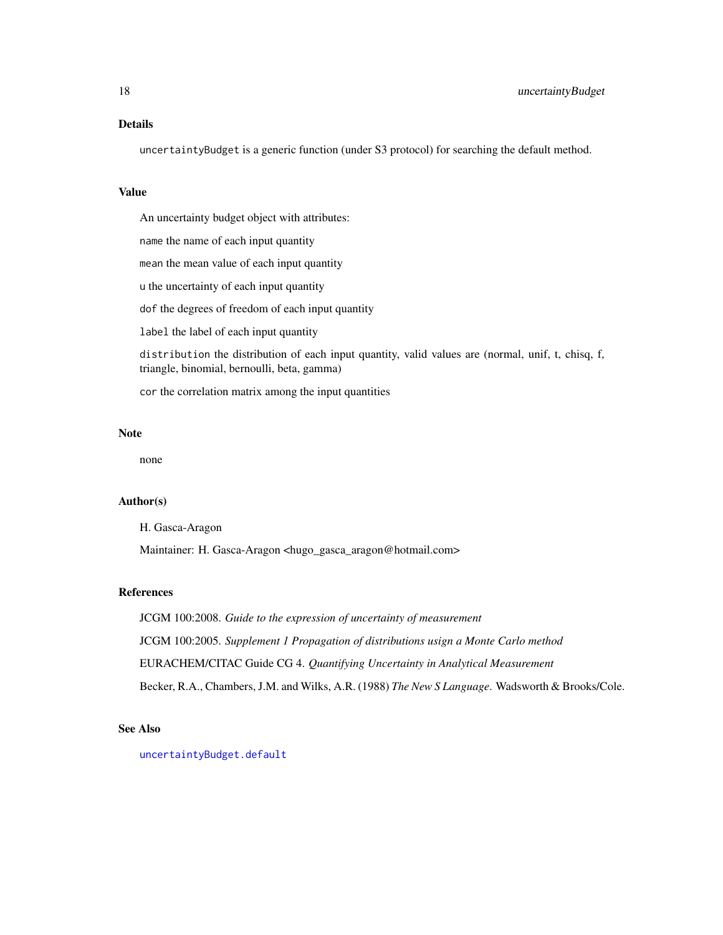#### <span id="page-17-0"></span>Details

uncertaintyBudget is a generic function (under S3 protocol) for searching the default method.

## Value

An uncertainty budget object with attributes:

name the name of each input quantity

mean the mean value of each input quantity

u the uncertainty of each input quantity

dof the degrees of freedom of each input quantity

label the label of each input quantity

distribution the distribution of each input quantity, valid values are (normal, unif, t, chisq, f, triangle, binomial, bernoulli, beta, gamma)

cor the correlation matrix among the input quantities

#### Note

none

## Author(s)

H. Gasca-Aragon

Maintainer: H. Gasca-Aragon <hugo\_gasca\_aragon@hotmail.com>

## References

JCGM 100:2008. *Guide to the expression of uncertainty of measurement* JCGM 100:2005. *Supplement 1 Propagation of distributions usign a Monte Carlo method* EURACHEM/CITAC Guide CG 4. *Quantifying Uncertainty in Analytical Measurement* Becker, R.A., Chambers, J.M. and Wilks, A.R. (1988) *The New S Language*. Wadsworth & Brooks/Cole.

## See Also

[uncertaintyBudget.default](#page-18-1)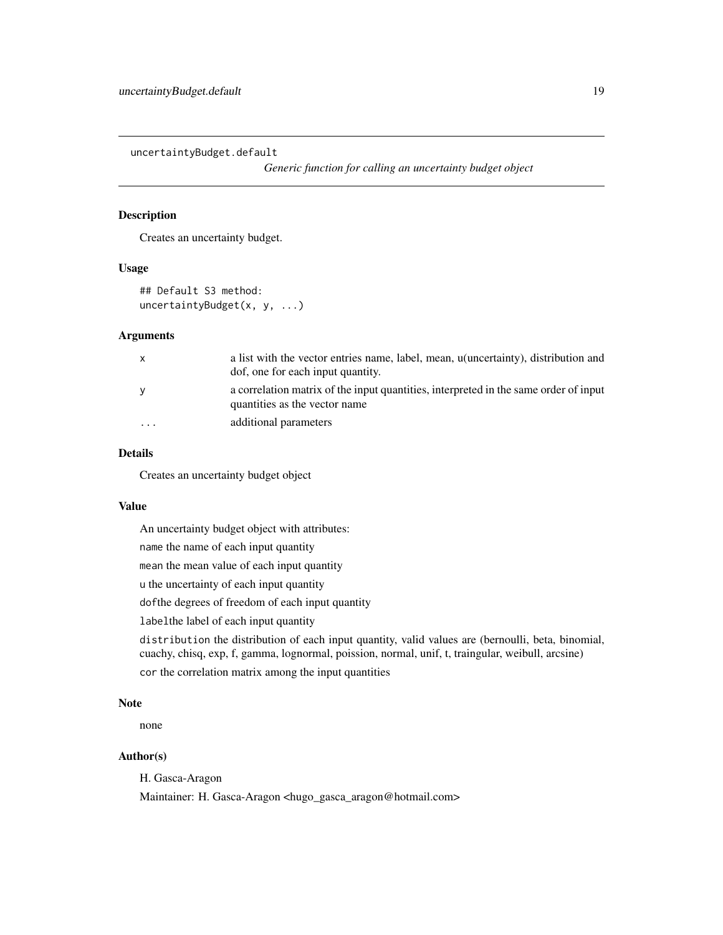<span id="page-18-1"></span><span id="page-18-0"></span>uncertaintyBudget.default

*Generic function for calling an uncertainty budget object*

## Description

Creates an uncertainty budget.

#### Usage

## Default S3 method: uncertaintyBudget(x, y, ...)

#### Arguments

| X        | a list with the vector entries name, label, mean, u(uncertainty), distribution and<br>dof, one for each input quantity. |
|----------|-------------------------------------------------------------------------------------------------------------------------|
| У        | a correlation matrix of the input quantities, interpreted in the same order of input<br>quantities as the vector name.  |
| $\cdots$ | additional parameters                                                                                                   |

## Details

Creates an uncertainty budget object

## Value

An uncertainty budget object with attributes:

name the name of each input quantity

mean the mean value of each input quantity

u the uncertainty of each input quantity

dofthe degrees of freedom of each input quantity

labelthe label of each input quantity

distribution the distribution of each input quantity, valid values are (bernoulli, beta, binomial, cuachy, chisq, exp, f, gamma, lognormal, poission, normal, unif, t, traingular, weibull, arcsine) cor the correlation matrix among the input quantities

#### Note

none

#### Author(s)

H. Gasca-Aragon

Maintainer: H. Gasca-Aragon <hugo\_gasca\_aragon@hotmail.com>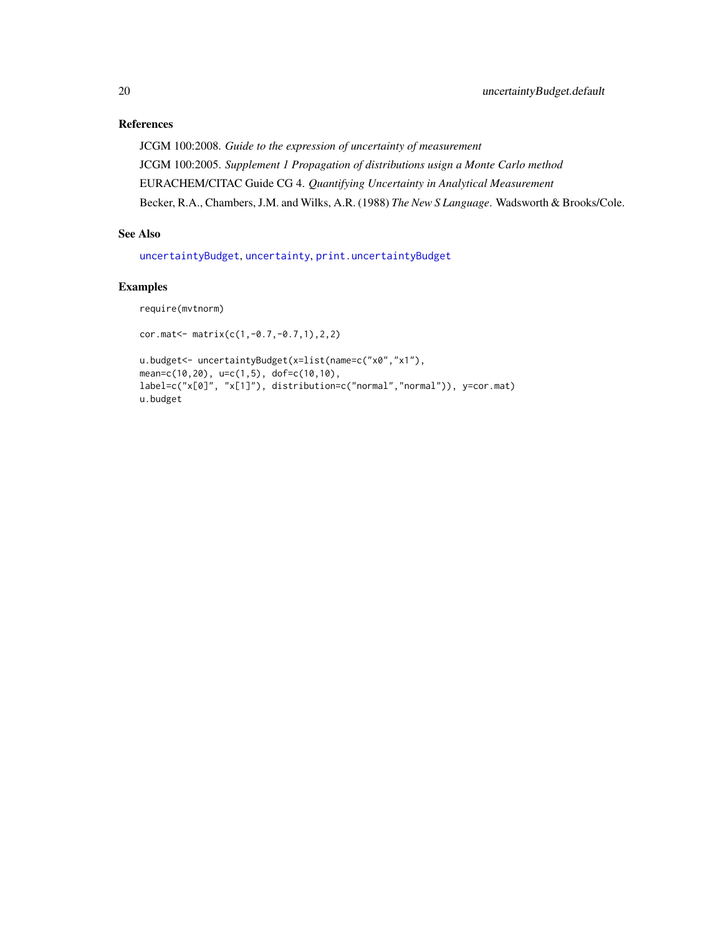## <span id="page-19-0"></span>References

JCGM 100:2008. *Guide to the expression of uncertainty of measurement* JCGM 100:2005. *Supplement 1 Propagation of distributions usign a Monte Carlo method* EURACHEM/CITAC Guide CG 4. *Quantifying Uncertainty in Analytical Measurement* Becker, R.A., Chambers, J.M. and Wilks, A.R. (1988) *The New S Language*. Wadsworth & Brooks/Cole.

## See Also

[uncertaintyBudget](#page-16-1), [uncertainty](#page-14-1), [print.uncertaintyBudget](#page-10-1)

## Examples

require(mvtnorm)

cor.mat<- matrix(c(1,-0.7,-0.7,1),2,2)

```
u.budget<- uncertaintyBudget(x=list(name=c("x0","x1"),
mean=c(10,20), u=c(1,5), dof=c(10,10),
label=c("x[0]", "x[1]"), distribution=c("normal","normal")), y=cor.mat)
u.budget
```